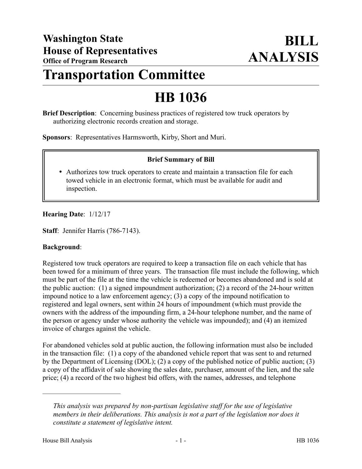# **Transportation Committee**

# **HB 1036**

**Brief Description**: Concerning business practices of registered tow truck operators by authorizing electronic records creation and storage.

**Sponsors**: Representatives Harmsworth, Kirby, Short and Muri.

## **Brief Summary of Bill**

 Authorizes tow truck operators to create and maintain a transaction file for each towed vehicle in an electronic format, which must be available for audit and inspection.

## **Hearing Date**: 1/12/17

**Staff**: Jennifer Harris (786-7143).

#### **Background**:

Registered tow truck operators are required to keep a transaction file on each vehicle that has been towed for a minimum of three years. The transaction file must include the following, which must be part of the file at the time the vehicle is redeemed or becomes abandoned and is sold at the public auction: (1) a signed impoundment authorization; (2) a record of the 24-hour written impound notice to a law enforcement agency; (3) a copy of the impound notification to registered and legal owners, sent within 24 hours of impoundment (which must provide the owners with the address of the impounding firm, a 24-hour telephone number, and the name of the person or agency under whose authority the vehicle was impounded); and (4) an itemized invoice of charges against the vehicle.

For abandoned vehicles sold at public auction, the following information must also be included in the transaction file: (1) a copy of the abandoned vehicle report that was sent to and returned by the Department of Licensing (DOL); (2) a copy of the published notice of public auction; (3) a copy of the affidavit of sale showing the sales date, purchaser, amount of the lien, and the sale price; (4) a record of the two highest bid offers, with the names, addresses, and telephone

––––––––––––––––––––––

*This analysis was prepared by non-partisan legislative staff for the use of legislative members in their deliberations. This analysis is not a part of the legislation nor does it constitute a statement of legislative intent.*